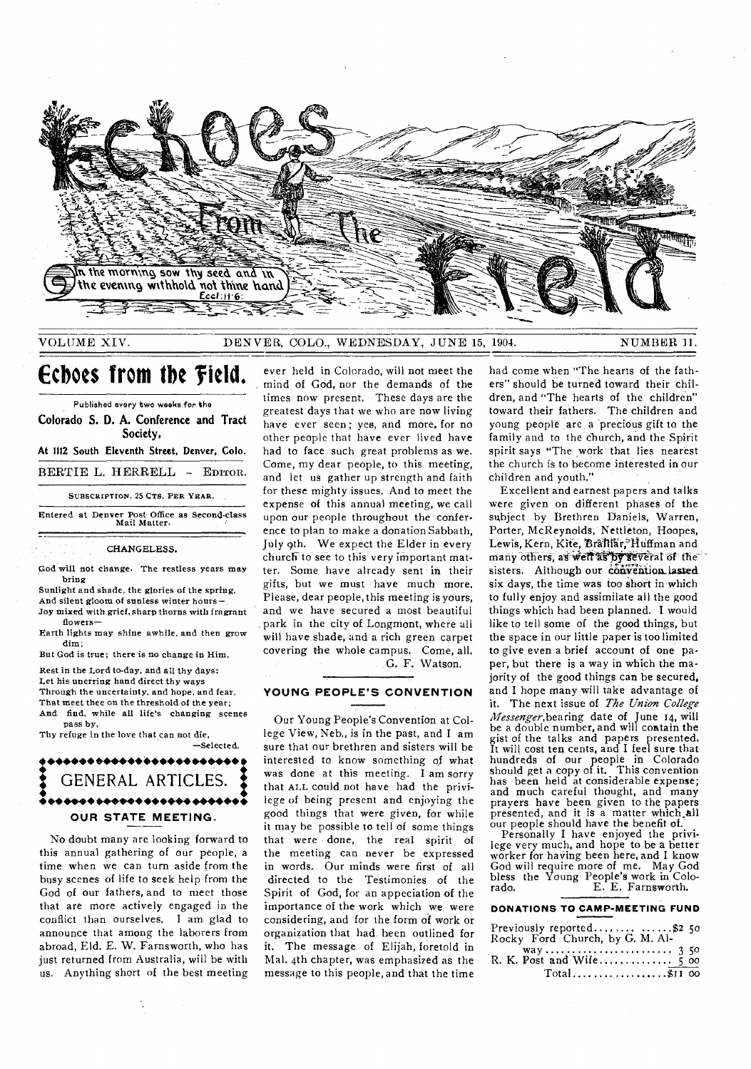

VOLUME XIV. DENVER, COLO., WEDNESDAY, JUNE 15, 1904. NUMBER 11.

# **Echoes from the field.**

Published every two weeks for the Colorado S. **D.** A. Conference and Tract Society, At 1112 South Eleventh Street, Denver, Colo. BERTIE L. HERRELL — EDITOR. SUBSCRIPTION, 25 CTS. PER YEAR. Entered at Denver Post Office as Second-class Mail Matter.

CHANGELESS.

God will not change. The restless years may bring

Sunlight and shade, the glories of the spring, And silent gloom of snnless winter hours—

Joy mixed with grief, sharp thorns with fragrant flowers—

Earth lights may shine awhile, and then grow dim;

But God is true; there is no change in Him,

Rest in the Lord to-day, and all thy days: Let his unerring hand direct thy ways Through the uncertainty, and hope, and fear, That meet thee on the threshold of the year; And find, while all life's changing scenes

pass by, Thy refuge in the love that can not die, —Selected.

## \*\*\*\*\*\*\*\*\*\*\*\*\*\*\*\*\*\*\*\*\*\*\*\* GENERAL ARTICLES. • 4,••••• •••••• •••••• •••••• • **OUR STATE MEETING.**

No doubt many are looking forward to this annual gathering of our people, a time when we can turn aside from the busy scenes of life to seek help from the God of our fathers, and to meet those that are more actively engaged in the conflict than ourselves. I am glad to announce that among the laborers from abroad, Eld. E. W. Farnsworth, who has just returned from Australia, will be with us. Anything short of the best meeting

ever held in Colorado, will not meet the mind of God, nor the demands of the times now present. These days are the greatest days that we who are now living have ever seen; yes, and more, for no other people that have ever lived have had to face such great problems as we. Come, my dear people, to this meeting, and let us gather up strength and faith for these mighty issues. And to meet the expense of this annual meeting, we call upon our people throughout the conference to plan to make a donation Sabbath, July 9th. We expect the Elder in every church to see to this very important matter. Some have already sent in their gifts, but we must have much more. Please, dear people, this meeting is yours, and we have secured a most beautiful park in the city of Longmont, where all will have shade, and a rich green carpet covering the whole campus. Come, all. G. F. Watson.

#### **YOUNG PEOPLE'S CONVENTION**

Our Young People's Convention at College View, Neb., is in the past, and I am sure that our brethren and sisters will be interested to know something of what was done at this meeting. I am sorry that ALL could not have had the privilege of being present and enjoying the good things that were given, for while it may he possible to tell of some things that were done, the real spirit of the meeting can never be expressed in words. Our minds were first of all directed to the Testimonies of the Spirit of God, for an appeciation of the importance of the work which we were considering, and for the form of work or organization that had been outlined for it. The message of Elijah, foretold in Mal. 4th chapter, was emphasized as the message to this people, and that the time

had come when "The hearts of the fathers" should be turned toward their children, and "The hearts of the children" toward their fathers. The children and young people are a precious gift to the family and to the church, and the Spirit spirit says "The work that lies nearest the church is to become interested in our children and youth."

Excellent and earnest papers and talks were given on different phases of the subject by Brethren Daniels, Warren, Porter, McReynolds, Nettleton, Hoopes, Lewis, Kern, Kite, Bralliar, Huffman and many others, as well as by several of the sisters. Although our convention lasted six days, the time was too short in which to fully enjoy and assimilate all the good things which had been planned. I would like to tell some of the good things, but the space in our little paper is too limited to give even a brief account of one paper, but there is a way in which the majority of the good things can be secured, and I hope many will take advantage of it. The next issue of *The Union College*  Messenger, bearing date of June 14, will be a double number, and will contain the gist of the talks and papers presented. It will cost ten cents, and I feel sure that hundreds of our people in Colorado should get a copy of it. This convention has been held at considerable expense; and much careful thought, and many prayers have been given to the papers presented, and it is a matter which all our people should have the benefit of.

Personally I have enjoyed the privilege very much, and hope to be a better worker for having been here, and I know God will require more of me. May God bless the Young People's work in Colo-<br>rado. E. E. Farnsworth. E. E. Farnsworth.

## **DONATIONS TO CAMP-MEETING FUND**

| Previously reported \$2 50<br>Rocky Ford Church, by G. M. Al- |  |
|---------------------------------------------------------------|--|
|                                                               |  |
|                                                               |  |
| $Total$ \$11 00                                               |  |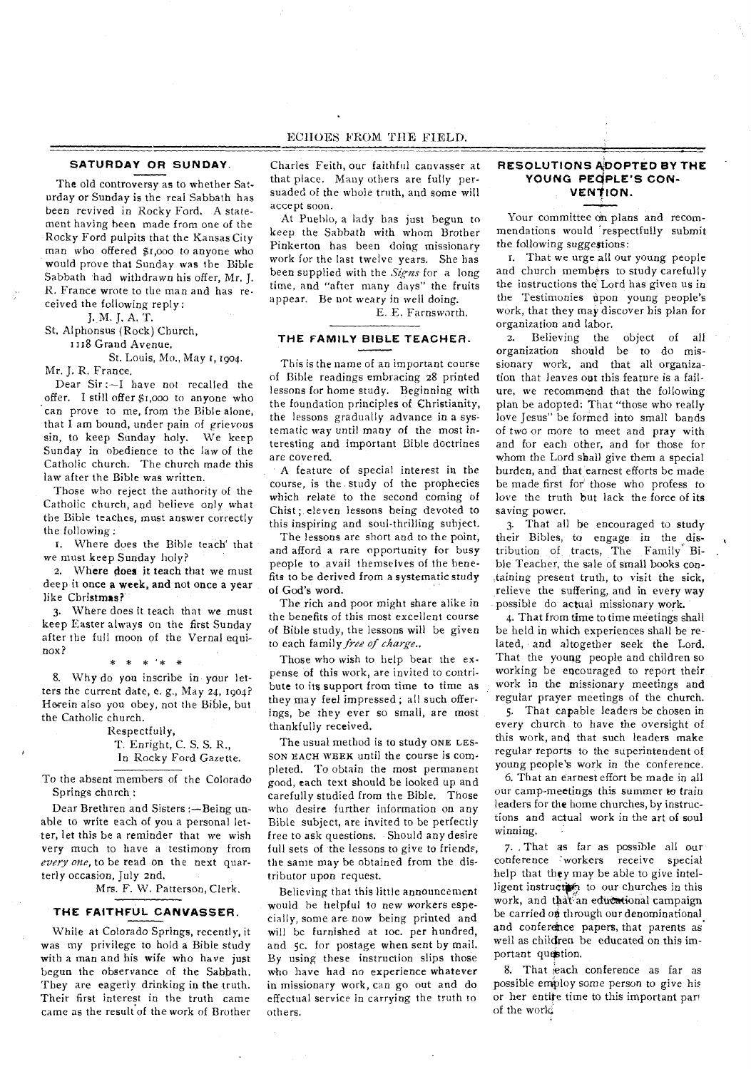### **SATURDAY OR SUNDAY.**

The old controversy as to whether Saturday or Sunday is the real Sabbath has been revived in Rocky Ford. A statement having been made from one of the Rocky Ford pulpits that the Kansas City man who offered \$r,000 to anyone who would prove that Sunday was the Bible Sabbath had withdrawn his offer, Mr. J. R. France wrote to the man and has received the following reply :

J. M. J. A. T.

St. Alphonsus (Rock) Church,

1118 Grand Avenue.

St. Louis, Mo., May t, 1904. Mr. J. R. France.

Dear Sir :—I have not recalled the offer. I still offer \$1,000 to anyone who can prove to me, from the Bible alone, that I am bound, under pain of *grievous*  sin, to keep Sunday holy. We keep Sunday in obedience to the law of the Catholic church. The church made this law after the Bible was written.

Those who reject the authority of the Catholic church, and believe only what the Bible teaches, must answer correctly the following :

r. Where dues the Bible teach' that we must keep Sunday holy?

2. Where does it teach that we must deep it once a week, and not once a year like Christmas?

3. Where does it teach that we must keep Easter always on the first Sunday after the full moon of the Vernal equinox?

\* \* '\* \* 8. Why do you inscribe in your letters the current date, e. g., May 24, 1904? Horein also you obey, not the Bible, but the Catholic church.

> Respectfully, T. Enright, C. S. S. R., In Rocky Ford Gazette.

To the absent members of the Colorado Springs church:

Dear Brethren and Sisters :—Being unable to write each of you a personal letter, let this be a reminder that we wish very much to have a testimony from *every one,* to be read on the next quarterly occasion, July 2nd.

Mrs. F. W. Patterson, Clerk.

#### **THE FAITHFUL CANVASSER.**

While at Colorado Springs, recently, it was my privilege to hold a Bible study with a man and his wife who have just begun the observance of the Sabbath. They are eagerly drinking in the truth. Their first interest in the truth came came as the result of the work of Brother

Charles Feith, our faithful canvasser at that place. Many others are fully persuaded of the whole truth, and some will accept soon.

At Pueblo, a lady has just begun to keep the Sabbath with whom Brother Pinkerton has been doing missionary work for the last twelve years. She has been supplied with the *Signs* for a long time, and "after many days" the fruits appear. Be not weary in well doing.

E. E. Farnsworth.

#### **THE FAMILY BIBLE TEACHER.**

This is the name of an important course of Bible readings embracing 28 printed lessons for home study. Beginning with the foundation principles of Christianity, the lessons gradually advance in a systematic way until many of the most interesting and important Bible doctrines are covered.

A feature of special interest in the course, is the study of the prophecies which relate to the second coming of Chist ; eleven lessons being devoted to this inspiring and soul-thrilling subject.

The lessons are short and to the point, and afford a rare opportunity for busy people to avail themselves of the benefits to be derived from a systematic study of God's word.

The rich and poor might share alike in the benefits of this most excellent course of Bible study, the lessons will be given to each family *free of charge..* 

Those who wish to help bear the expense of this work, are invited to contribute to its support from time to time as they may feel impressed ; all such offerings, be they ever so small, are most thankfully received.

The usual method is to study ONE LES-SON EACH WEEK until the course is completed. To obtain the most permanent good, each text should be looked up and carefully studied from the Bible. Those who desire further information on any Bible subject, are invited to be perfectly free to ask questions. Should any desire full sets of the lessons to give to friends, the same may be obtained from the distributor upon request.

Believing that this little announcement would he helpful to new workers especially, some are now being printed and will be furnished at loc. per hundred, and 5c. for postage when sent by mail. By using these instruction slips those who have had no experience whatever in missionary work, can go out and do effectual service in carrying the truth to others.

### **RESOLUTIONS ADOPTED BY THE**  YOUNG PEOPLE'S CON-**VENTION.**

Your committee on plans and recommendations would respectfully submit the following suggestions:

I. That we urge all our young people and church members to study carefully the instructions the Lord has given us in the Testimonies upon young people's work, that they may discover his plan for organization and labor.

2. Believing the object of all organization should be to do missionary work, and that all organization that leaves out this feature is a failure, we recommend that the following plan be adopted: That "those who really love Jesus" be formed into small bands of two *or* more to meet and pray with and for each other, and for those for whom the Lord shall give them a special burden, and that earnest efforts be made be made first for those who profess to love the truth but lack the force of its saving power.

3. That all be encouraged to study their Bibles, to engage in the distribution of tracts, The Family Bible Teacher, the sale of small books containing present truth, to visit the sick, relieve the suffering, and in every way possible do actual missionary work.

4. That from time to time meetings shall be held in which experiences shall be related, and altogether seek the Lord. That the young people and children so working be encouraged to report their work in the missionary meetings and regular prayer meetings of the church.

5. That capable leaders be chosen in every church to have the oversight of this work, and that such leaders make regular reports to the superintendent of young people's work in the conference.

6. That an earnest effort be made in all our camp-meetings this summer to train leaders for the home churches, by instructions and actual work in the art of soul winning.

q. , That as *far* as possible all our conference "workers receive special help that they may be able to give intelligent instructor to our churches in this work, and that an educational campaign be carried on through our denominational and conference papers, that parents as well as children be educated on this important question.

8. That each conference as far as possible employ some person to give his or her entire time to this important part of the work.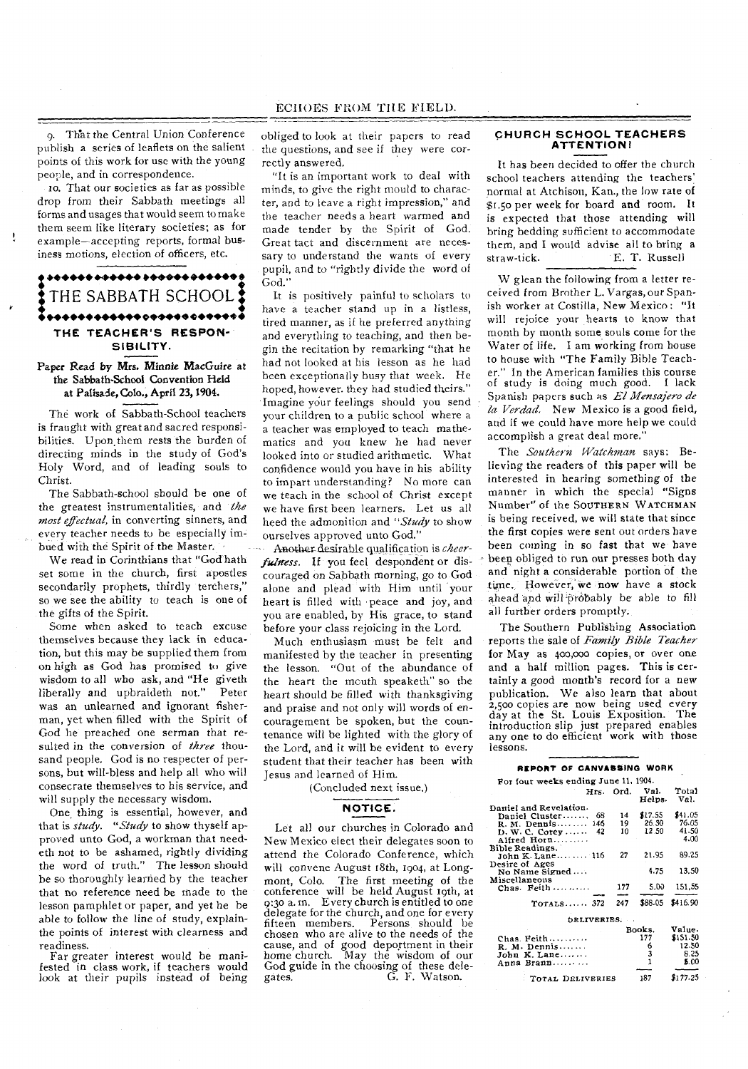9. That the Central Union Conference publish a series of leaflets on the salient points of this work for use with the young people, and in correspondence.

to. That our societies as far as possible drop from their Sabbath meetings all forms and usages that would seem to make them seem like literary societies; as for example—accepting reports, formal business motions, election of officers, etc.

ŧ,

# .**.....................** THE SABBATH SCHOOL: **THE TEACHER'S RESPON-SIBILITY.**

### Paper Read by Mrs. Minnie MacGuire at the Sabbath-School Convention Held at Palisade, Colo., April 23, 1904.

The work of Sabbath-School teachers is fraught with great and sacred responsibilities. Upon, them rests the burden of directing minds in the study of God's Holy Word, and of leading souls to Christ.

The Sabbath-school should be one of the greatest instrumentalities, and *the most effectual,* in converting sinners, and every teacher needs to be especially imbued with the Spirit of the Master.

We read in Corinthians that "God hath set some in the church, first apostles secondarily prophets, thirdly terchers," so we see the ability to teach is one of the gifts of the Spirit.

Some when asked to teach excuse themselves because they lack in education, but this may be supplied them from on high as God has promised to give wisdom to all who ask, and "He giveth<br>liberally and upbraideth not." Peter liberally and upbraideth not." was an unlearned and ignorant fisherman, yet when filled with the Spirit of God he preached one serman that resulted in the conversion of *three* thousand people. God is no respecter of persons, but will-bless and help all who will consecrate themselves to his service, and will supply the necessary wisdom.

One thing is essential, however, and that is *study. "Study* to show thyself approved unto God, a workman that needeth not to be ashamed, rightly dividing the word of truth." The lesson should be so thoroughly learned by the teacher that no reference need be made to the lesson pamphlet or paper, and yet he be able to follow the line of study, explainthe points of interest with clearness and readiness.

Far greater interest would be mani-fested in class work, if teachers would look at their pupils instead of being

obliged to look at their papers to read the questions, and see if they were correctly answered.

"It is an important work to deal with minds, to give the right mould to character, and to leave a right impression," and the teacher needs a heart warmed and made tender by the Spirit of God. Great tact and discernment are necessary to understand the wants of every pupil, and to "rightly divide the word of God."

It is positively painful to scholars to have a teacher stand up in a listless, tired manner, as if he preferred anything and everything to teaching, and then begin the recitation by remarking "that he had not looked at his lesson as he had been exceptionally busy that week. He hoped, however. they had studied theirs." Imagine your feelings should you send your children to a public school where a a teacher was employed to teach mathematics and you knew he had never looked into or studied arithmetic. What confidence would you have in his ability to impart understanding? No more can we teach in the school of Christ except we have first been learners. Let us all heed the admonition and *"Study* to show ourselves approved unto God."

Another desirable qualification is *cheerfulness.* If you feel despondent or discouraged on Sabbath morning, go to God alone and plead with Him until your heart is filled with peace and joy, and you are enabled, by His grace, to stand before your class rejoicing in the Lord.

Much enthusiasm must be felt and manifested by the teacher in presenting the lesson. "Out of the abundance of the heart the mouth speaketh" so the heart should be filled with thanksgiving and praise and not only will words of encouragement be spoken, but the countenance will be lighted with the glory of the Lord, and it will be evident to every student that their teacher has been with Jesus and learned of Him.

(Concluded next issue.)

### **NOTICE.**

Let all our churches in Colorado and New Mexico elect their delegates soon to attend the Colorado Conference, which will convene August 18th, 1904, at Longmont, Colo. The first meeting of the conference will be held August 19th, at 9:30 a. m. Every church is entitled to one delegate for the church, and one for every fifteen members. Persons should be chosen who are alive to the needs of the cause, and of good deportment in their home church. May the wisdom of our God guide in the choosing of these dele-gates. G. F. Watson.

#### **CHURCH SCHOOL TEACHERS ATTENTION!**

It has been decided to offer the church school teachers attending the teachers' normal at Atchison, Kan., the low rate of \$1.5o per week for board and room. It is expected that those attending will bring bedding sufficient to accommodate them, and I would advise all to bring a straw-tick. E. T. Russell

W glean the following from a letter received from Brother L. Vargas, our Spanish worker at Costilla, New Mexico: "It will rejoice your hearts to know that month by month some souls come for the Water of life. I am working from house to house with "The Family Bible Teacher." In the American families this course of study is doing much good. I lack Spanish papers such as *El Mensajero de la Verdad.* New Mexico is a good field, and if we could have more help we could accomplish a great deal more.

The *Southern Watchman* says: Believing the readers of this paper will be interested in hearing something of the manner in which the special "Signs Number" of the SOUTHERN WATCHMAN is being received, we will state that since the first copies were sent out orders have been coming in so fast that we have beep obliged to run our presses both day and night a considerable portion of the time. However, we now have a stock ahead and will probably be able to fill all further orders promptly.

The Southern Publishing Association reports the sale of *Family Bible Teacher*  for May as 400,000 copies, or over one and a half million pages. This is certainly a good month's record for a new publication. We also learn that about 2,5oo copies are now being used every day at the St. Louis Exposition. The introduction slip just prepared enables any one to do efficient work with those lessons.

#### **REPORT OF CANVASSING WORK**

| Hrs. Ord.        | Val.<br>Helps. | Total<br>Val.                                                                                    |
|------------------|----------------|--------------------------------------------------------------------------------------------------|
|                  |                |                                                                                                  |
| 14               |                | \$41.05                                                                                          |
|                  |                | 76.05                                                                                            |
| 10               | 12.50          | 41.50                                                                                            |
|                  |                | 4.00                                                                                             |
|                  |                |                                                                                                  |
| 27               | 21.95          | 89.25                                                                                            |
|                  |                |                                                                                                  |
|                  | 4.75           | 13.50                                                                                            |
|                  |                |                                                                                                  |
| 177              |                | 151,55                                                                                           |
|                  |                |                                                                                                  |
| 247              |                | $$88.05$ \$416.90                                                                                |
| DELIVERIES.      |                |                                                                                                  |
|                  |                | Value.                                                                                           |
|                  |                | \$151.50                                                                                         |
|                  |                | 12.50                                                                                            |
|                  |                | 8.25                                                                                             |
|                  |                | 5.00                                                                                             |
|                  |                |                                                                                                  |
| TOTAL DELIVERIES | 187            | \$177.25                                                                                         |
|                  | 19             | For four weeks ending June 11, 1904.<br>\$17.55<br>26.30<br>5.00<br>Books.<br>177<br>6<br>3<br>1 |